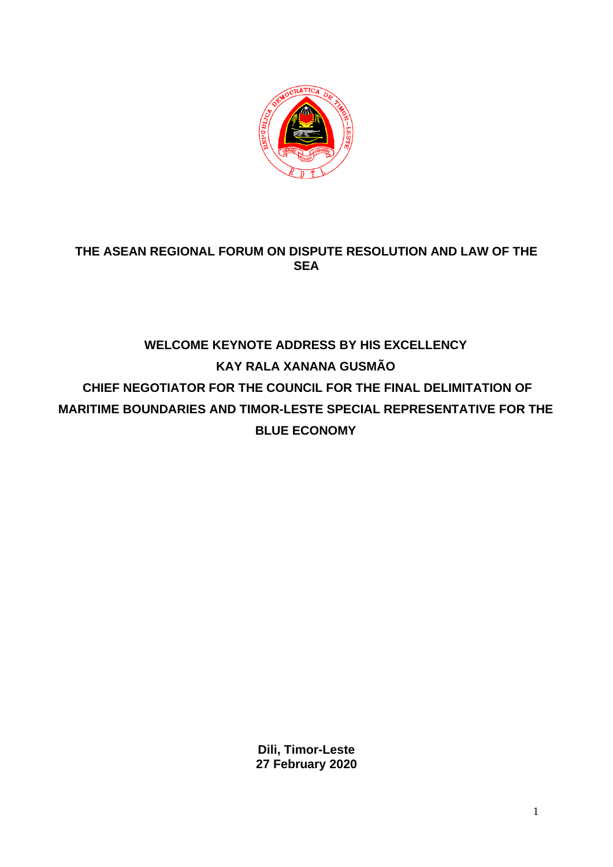

## **THE ASEAN REGIONAL FORUM ON DISPUTE RESOLUTION AND LAW OF THE SEA**

## **WELCOME KEYNOTE ADDRESS BY HIS EXCELLENCY KAY RALA XANANA GUSMÃO CHIEF NEGOTIATOR FOR THE COUNCIL FOR THE FINAL DELIMITATION OF MARITIME BOUNDARIES AND TIMOR-LESTE SPECIAL REPRESENTATIVE FOR THE BLUE ECONOMY**

**Dili, Timor-Leste 27 February 2020**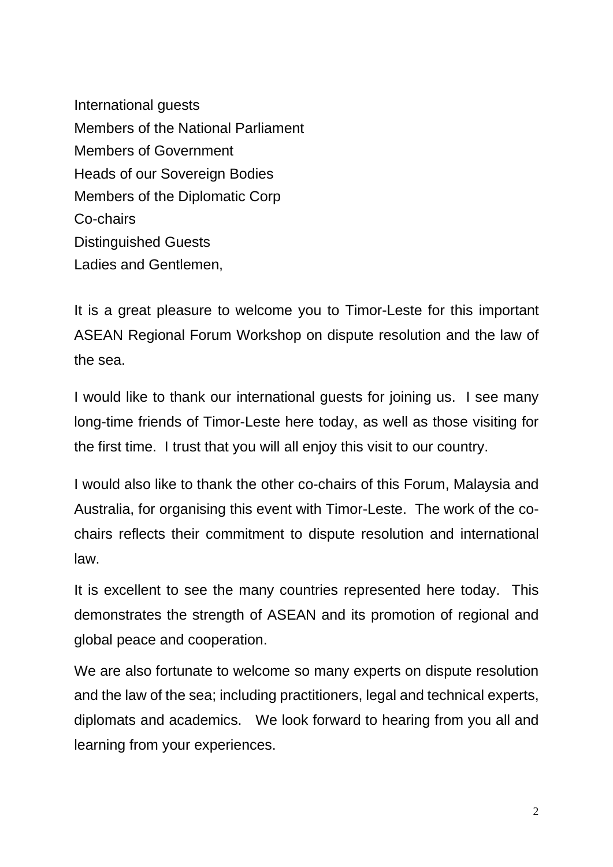International guests Members of the National Parliament Members of Government Heads of our Sovereign Bodies Members of the Diplomatic Corp Co-chairs Distinguished Guests Ladies and Gentlemen,

It is a great pleasure to welcome you to Timor-Leste for this important ASEAN Regional Forum Workshop on dispute resolution and the law of the sea.

I would like to thank our international guests for joining us. I see many long-time friends of Timor-Leste here today, as well as those visiting for the first time. I trust that you will all enjoy this visit to our country.

I would also like to thank the other co-chairs of this Forum, Malaysia and Australia, for organising this event with Timor-Leste. The work of the cochairs reflects their commitment to dispute resolution and international law.

It is excellent to see the many countries represented here today. This demonstrates the strength of ASEAN and its promotion of regional and global peace and cooperation.

We are also fortunate to welcome so many experts on dispute resolution and the law of the sea; including practitioners, legal and technical experts, diplomats and academics. We look forward to hearing from you all and learning from your experiences.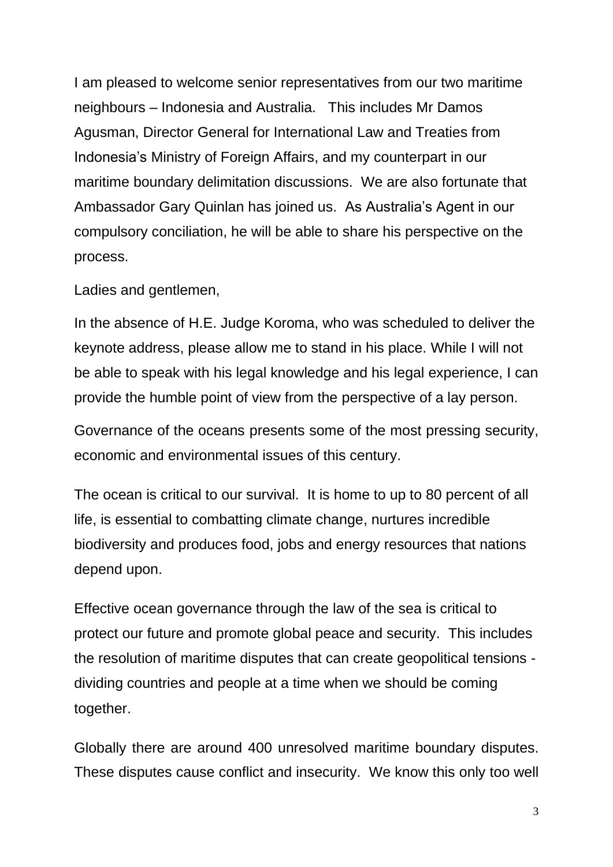I am pleased to welcome senior representatives from our two maritime neighbours – Indonesia and Australia. This includes Mr Damos Agusman, Director General for International Law and Treaties from Indonesia's Ministry of Foreign Affairs, and my counterpart in our maritime boundary delimitation discussions. We are also fortunate that Ambassador Gary Quinlan has joined us. As Australia's Agent in our compulsory conciliation, he will be able to share his perspective on the process.

Ladies and gentlemen,

In the absence of H.E. Judge Koroma, who was scheduled to deliver the keynote address, please allow me to stand in his place. While I will not be able to speak with his legal knowledge and his legal experience, I can provide the humble point of view from the perspective of a lay person.

Governance of the oceans presents some of the most pressing security, economic and environmental issues of this century.

The ocean is critical to our survival. It is home to up to 80 percent of all life, is essential to combatting climate change, nurtures incredible biodiversity and produces food, jobs and energy resources that nations depend upon.

Effective ocean governance through the law of the sea is critical to protect our future and promote global peace and security. This includes the resolution of maritime disputes that can create geopolitical tensions dividing countries and people at a time when we should be coming together.

Globally there are around 400 unresolved maritime boundary disputes. These disputes cause conflict and insecurity. We know this only too well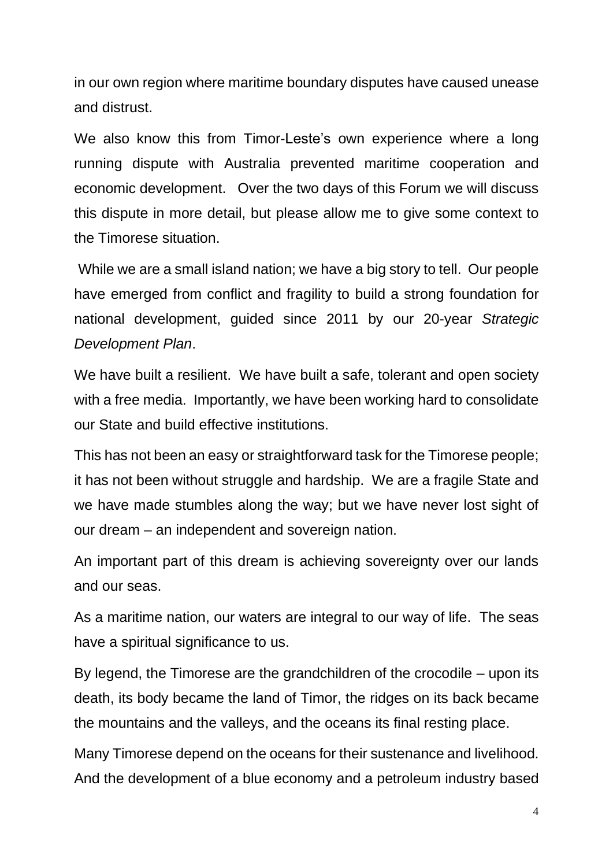in our own region where maritime boundary disputes have caused unease and distrust.

We also know this from Timor-Leste's own experience where a long running dispute with Australia prevented maritime cooperation and economic development. Over the two days of this Forum we will discuss this dispute in more detail, but please allow me to give some context to the Timorese situation.

While we are a small island nation; we have a big story to tell. Our people have emerged from conflict and fragility to build a strong foundation for national development, guided since 2011 by our 20-year *Strategic Development Plan*.

We have built a resilient. We have built a safe, tolerant and open society with a free media. Importantly, we have been working hard to consolidate our State and build effective institutions.

This has not been an easy or straightforward task for the Timorese people; it has not been without struggle and hardship. We are a fragile State and we have made stumbles along the way; but we have never lost sight of our dream – an independent and sovereign nation.

An important part of this dream is achieving sovereignty over our lands and our seas.

As a maritime nation, our waters are integral to our way of life. The seas have a spiritual significance to us.

By legend, the Timorese are the grandchildren of the crocodile – upon its death, its body became the land of Timor, the ridges on its back became the mountains and the valleys, and the oceans its final resting place.

Many Timorese depend on the oceans for their sustenance and livelihood. And the development of a blue economy and a petroleum industry based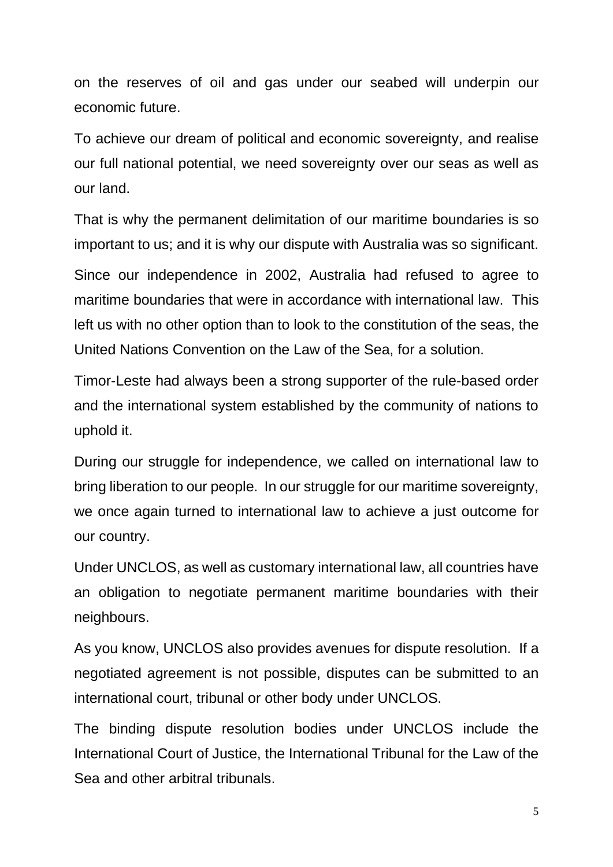on the reserves of oil and gas under our seabed will underpin our economic future.

To achieve our dream of political and economic sovereignty, and realise our full national potential, we need sovereignty over our seas as well as our land.

That is why the permanent delimitation of our maritime boundaries is so important to us; and it is why our dispute with Australia was so significant.

Since our independence in 2002, Australia had refused to agree to maritime boundaries that were in accordance with international law. This left us with no other option than to look to the constitution of the seas, the United Nations Convention on the Law of the Sea, for a solution.

Timor-Leste had always been a strong supporter of the rule-based order and the international system established by the community of nations to uphold it.

During our struggle for independence, we called on international law to bring liberation to our people. In our struggle for our maritime sovereignty, we once again turned to international law to achieve a just outcome for our country.

Under UNCLOS, as well as customary international law, all countries have an obligation to negotiate permanent maritime boundaries with their neighbours.

As you know, UNCLOS also provides avenues for dispute resolution. If a negotiated agreement is not possible, disputes can be submitted to an international court, tribunal or other body under UNCLOS.

The binding dispute resolution bodies under UNCLOS include the International Court of Justice, the International Tribunal for the Law of the Sea and other arbitral tribunals.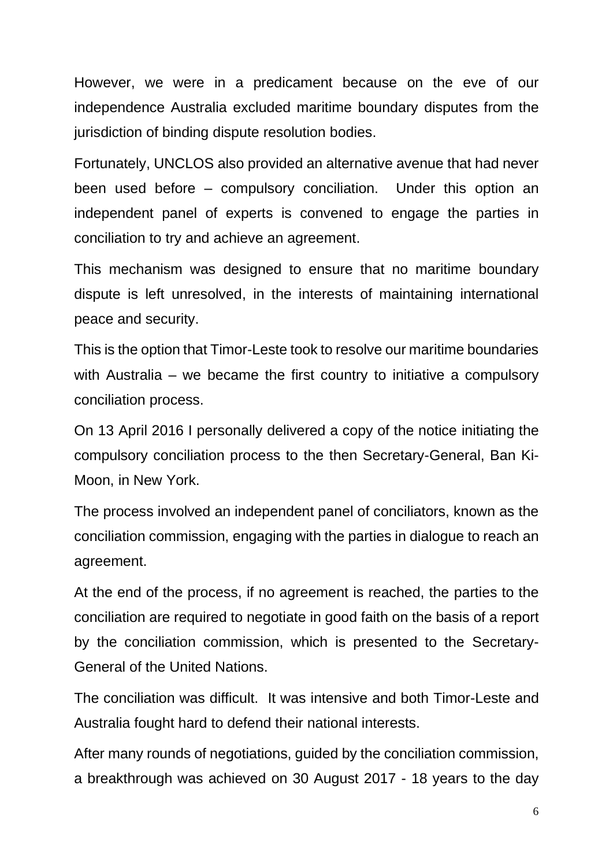However, we were in a predicament because on the eve of our independence Australia excluded maritime boundary disputes from the jurisdiction of binding dispute resolution bodies.

Fortunately, UNCLOS also provided an alternative avenue that had never been used before – compulsory conciliation. Under this option an independent panel of experts is convened to engage the parties in conciliation to try and achieve an agreement.

This mechanism was designed to ensure that no maritime boundary dispute is left unresolved, in the interests of maintaining international peace and security.

This is the option that Timor-Leste took to resolve our maritime boundaries with Australia – we became the first country to initiative a compulsory conciliation process.

On 13 April 2016 I personally delivered a copy of the notice initiating the compulsory conciliation process to the then Secretary-General, Ban Ki-Moon, in New York.

The process involved an independent panel of conciliators, known as the conciliation commission, engaging with the parties in dialogue to reach an agreement.

At the end of the process, if no agreement is reached, the parties to the conciliation are required to negotiate in good faith on the basis of a report by the conciliation commission, which is presented to the Secretary-General of the United Nations.

The conciliation was difficult. It was intensive and both Timor-Leste and Australia fought hard to defend their national interests.

After many rounds of negotiations, guided by the conciliation commission, a breakthrough was achieved on 30 August 2017 - 18 years to the day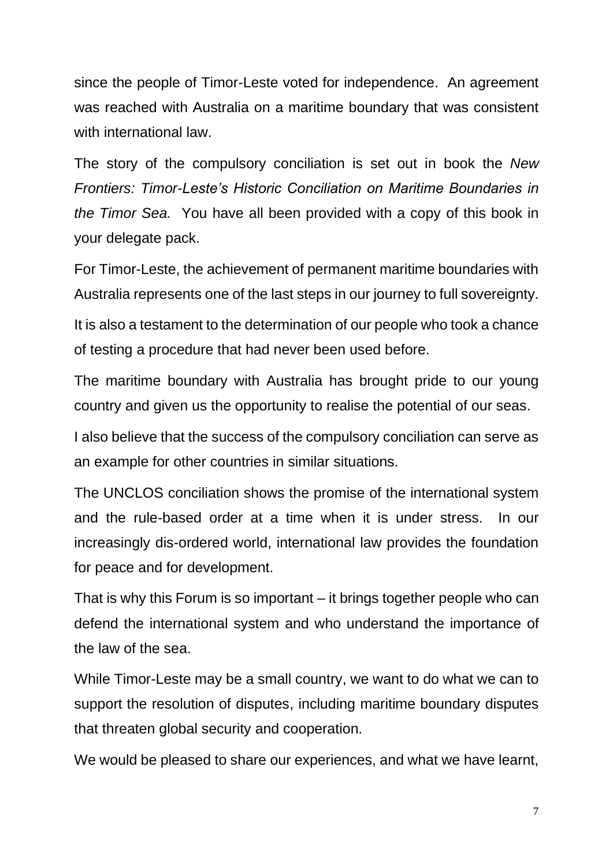since the people of Timor-Leste voted for independence. An agreement was reached with Australia on a maritime boundary that was consistent with international law.

The story of the compulsory conciliation is set out in book the *New Frontiers: Timor-Leste's Historic Conciliation on Maritime Boundaries in the Timor Sea.* You have all been provided with a copy of this book in your delegate pack.

For Timor-Leste, the achievement of permanent maritime boundaries with Australia represents one of the last steps in our journey to full sovereignty.

It is also a testament to the determination of our people who took a chance of testing a procedure that had never been used before.

The maritime boundary with Australia has brought pride to our young country and given us the opportunity to realise the potential of our seas.

I also believe that the success of the compulsory conciliation can serve as an example for other countries in similar situations.

The UNCLOS conciliation shows the promise of the international system and the rule-based order at a time when it is under stress. In our increasingly dis-ordered world, international law provides the foundation for peace and for development.

That is why this Forum is so important – it brings together people who can defend the international system and who understand the importance of the law of the sea.

While Timor-Leste may be a small country, we want to do what we can to support the resolution of disputes, including maritime boundary disputes that threaten global security and cooperation.

We would be pleased to share our experiences, and what we have learnt,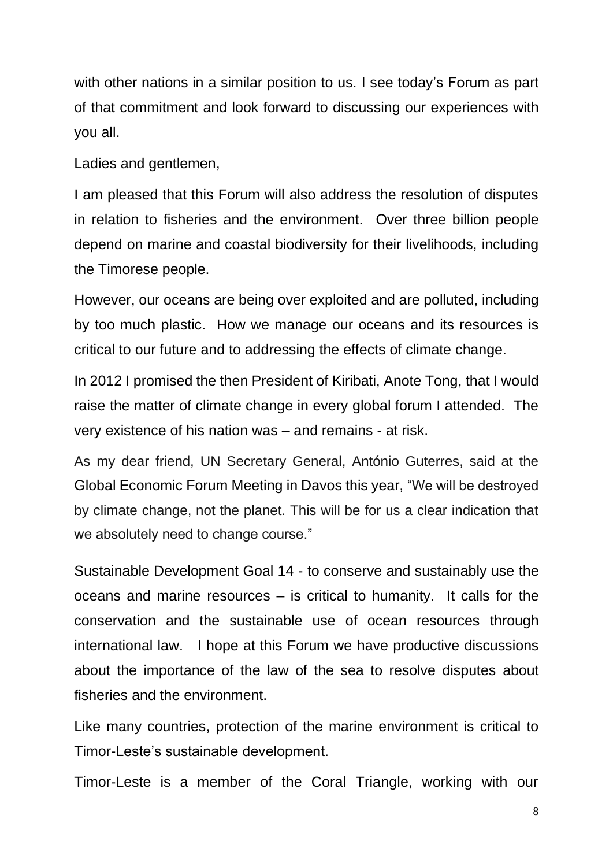with other nations in a similar position to us. I see today's Forum as part of that commitment and look forward to discussing our experiences with you all.

Ladies and gentlemen,

I am pleased that this Forum will also address the resolution of disputes in relation to fisheries and the environment. Over three billion people depend on marine and coastal biodiversity for their livelihoods, including the Timorese people.

However, our oceans are being over exploited and are polluted, including by too much plastic. How we manage our oceans and its resources is critical to our future and to addressing the effects of climate change.

In 2012 I promised the then President of Kiribati, [Anote Tong,](https://www.google.com/search?rlz=1C1AWFC_enAU853AU853&q=Anote+Tong&stick=H4sIAAAAAAAAAONgVuLUz9U3MDIqN7d4xOjMLfDyxz1hKatJa05eYzTh4grOyC93zSvJLKkUUuNig7JkuHilELo0GKS4uRBcnkWsXI55-SWpCiH5eekAEkJD6GAAAAA) that I would raise the matter of climate change in every global forum I attended. The very existence of his nation was – and remains - at risk.

As my dear friend, UN Secretary General, António Guterres, said at the Global Economic Forum Meeting in Davos this year, "We will be destroyed by climate change, not the planet. This will be for us a clear indication that we absolutely need to change course."

Sustainable Development Goal 14 - to conserve and sustainably use the oceans and marine resources – is critical to humanity. It calls for the conservation and the sustainable use of ocean resources through international law. I hope at this Forum we have productive discussions about the importance of the law of the sea to resolve disputes about fisheries and the environment.

Like many countries, protection of the marine environment is critical to Timor-Leste's sustainable development.

Timor-Leste is a member of the Coral Triangle, working with our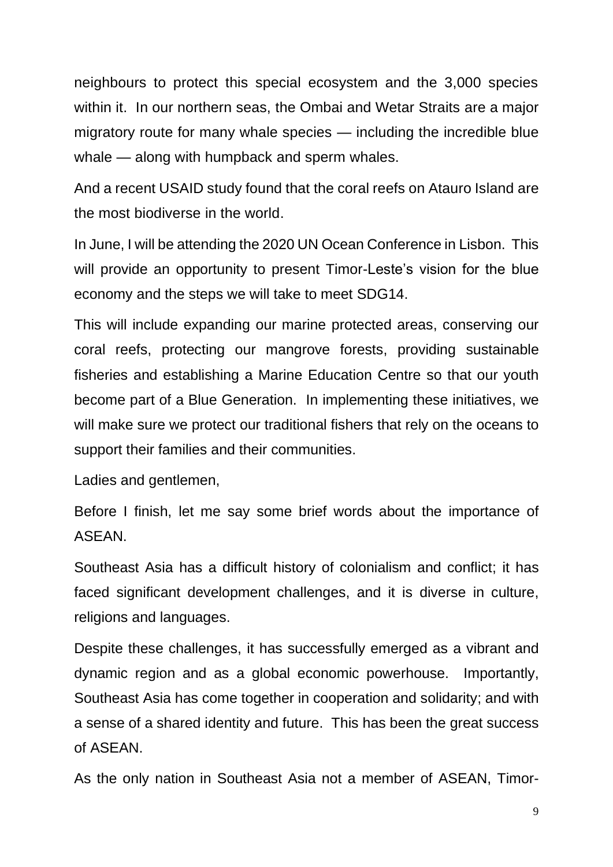neighbours to protect this special ecosystem and the 3,000 species within it. In our northern seas, the Ombai and Wetar Straits are a major migratory route for many whale species — including the incredible blue whale — along with humpback and sperm whales.

And a recent USAID study found that the coral reefs on Atauro Island are the most biodiverse in the world.

In June, I will be attending the 2020 UN Ocean Conference in Lisbon. This will provide an opportunity to present Timor-Leste's vision for the blue economy and the steps we will take to meet SDG14.

This will include expanding our marine protected areas, conserving our coral reefs, protecting our mangrove forests, providing sustainable fisheries and establishing a Marine Education Centre so that our youth become part of a Blue Generation. In implementing these initiatives, we will make sure we protect our traditional fishers that rely on the oceans to support their families and their communities.

Ladies and gentlemen,

Before I finish, let me say some brief words about the importance of ASEAN.

Southeast Asia has a difficult history of colonialism and conflict; it has faced significant development challenges, and it is diverse in culture, religions and languages.

Despite these challenges, it has successfully emerged as a vibrant and dynamic region and as a global economic powerhouse. Importantly, Southeast Asia has come together in cooperation and solidarity; and with a sense of a shared identity and future. This has been the great success of ASEAN.

As the only nation in Southeast Asia not a member of ASEAN, Timor-